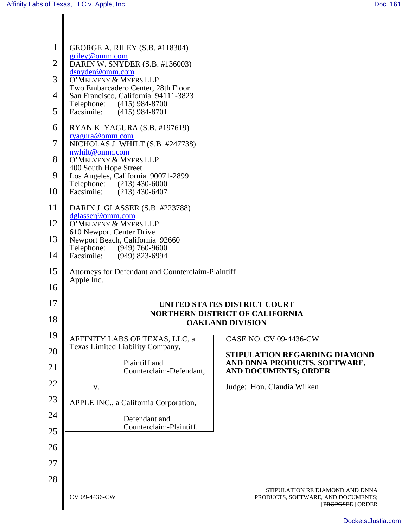| 1              | GEORGE A. RILEY (S.B. #118304)                                    |                                                                                           |
|----------------|-------------------------------------------------------------------|-------------------------------------------------------------------------------------------|
| $\overline{2}$ | griley@omm.com<br>DARIN W. SNYDER (S.B. #136003)                  |                                                                                           |
| 3              | dsnyder@omm.com<br>O'MELVENY & MYERS LLP                          |                                                                                           |
| 4              | Two Embarcadero Center, 28th Floor                                |                                                                                           |
|                | San Francisco, California 94111-3823<br>Telephone: (415) 984-8700 |                                                                                           |
| 5              | Facsimile: (415) 984-8701                                         |                                                                                           |
| 6              | RYAN K. YAGURA (S.B. #197619)<br>ryagura@omm.com                  |                                                                                           |
| 7              | NICHOLAS J. WHILT (S.B. #247738)<br>nwhilt@omm.com                |                                                                                           |
| 8              | O'MELVENY & MYERS LLP<br>400 South Hope Street                    |                                                                                           |
| 9              | Los Angeles, California 90071-2899<br>Telephone: (213) 430-6000   |                                                                                           |
| 10             | Facsimile: (213) 430-6407                                         |                                                                                           |
| 11             | DARIN J. GLASSER (S.B. #223788)<br>dglasser@omm.com               |                                                                                           |
| 12             | O'MELVENY & MYERS LLP<br>610 Newport Center Drive                 |                                                                                           |
| 13             | Newport Beach, California 92660                                   |                                                                                           |
| 14             | Telephone: (949) 760-9600<br>Facsimile: (949) 823-6994            |                                                                                           |
| 15             | Attorneys for Defendant and Counterclaim-Plaintiff                |                                                                                           |
| 16             | Apple Inc.                                                        |                                                                                           |
| 17             |                                                                   | UNITED STATES DISTRICT COURT                                                              |
| 18             |                                                                   | <b>NORTHERN DISTRICT OF CALIFORNIA</b><br><b>OAKLAND DIVISION</b>                         |
| 19             | AFFINITY LABS OF TEXAS, LLC, a                                    | <b>CASE NO. CV 09-4436-CW</b>                                                             |
| 20             | Texas Limited Liability Company,                                  | STIPULATION REGARDING DIAMOND                                                             |
| 21             | Plaintiff and<br>Counterclaim-Defendant,                          | AND DNNA PRODUCTS, SOFTWARE,<br><b>AND DOCUMENTS; ORDER</b>                               |
| 22             | V.                                                                | Judge: Hon. Claudia Wilken                                                                |
| 23             | APPLE INC., a California Corporation,                             |                                                                                           |
| 24             | Defendant and                                                     |                                                                                           |
| 25             | Counterclaim-Plaintiff.                                           |                                                                                           |
| 26             |                                                                   |                                                                                           |
| 27             |                                                                   |                                                                                           |
| 28             |                                                                   |                                                                                           |
|                | CV 09-4436-CW                                                     | STIPULATION RE DIAMOND AND DNNA<br>PRODUCTS, SOFTWARE, AND DOCUMENTS;<br>[PROPOSED] ORDER |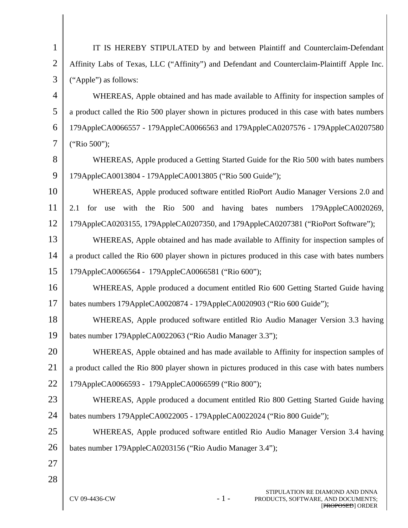| 1              | IT IS HEREBY STIPULATED by and between Plaintiff and Counterclaim-Defendant                     |  |  |
|----------------|-------------------------------------------------------------------------------------------------|--|--|
| $\overline{2}$ | Affinity Labs of Texas, LLC ("Affinity") and Defendant and Counterclaim-Plaintiff Apple Inc.    |  |  |
| 3              | ("Apple") as follows:                                                                           |  |  |
| 4              | WHEREAS, Apple obtained and has made available to Affinity for inspection samples of            |  |  |
| 5              | a product called the Rio 500 player shown in pictures produced in this case with bates numbers  |  |  |
| 6              | 179AppleCA0066557 - 179AppleCA0066563 and 179AppleCA0207576 - 179AppleCA0207580                 |  |  |
| 7              | ("Rio 500");                                                                                    |  |  |
| 8              | WHEREAS, Apple produced a Getting Started Guide for the Rio 500 with bates numbers              |  |  |
| 9              | 179AppleCA0013804 - 179AppleCA0013805 ("Rio 500 Guide");                                        |  |  |
| 10             | WHEREAS, Apple produced software entitled RioPort Audio Manager Versions 2.0 and                |  |  |
| 11             | with the Rio 500 and having bates numbers<br>2.1<br>for<br>179AppleCA0020269,<br>use            |  |  |
| 12             | 179AppleCA0203155, 179AppleCA0207350, and 179AppleCA0207381 ("RioPort Software");               |  |  |
| 13             | WHEREAS, Apple obtained and has made available to Affinity for inspection samples of            |  |  |
| 14             | a product called the Rio 600 player shown in pictures produced in this case with bates numbers  |  |  |
| 15             | 179AppleCA0066564 - 179AppleCA0066581 ("Rio 600");                                              |  |  |
| 16             | WHEREAS, Apple produced a document entitled Rio 600 Getting Started Guide having                |  |  |
| 17             | bates numbers 179AppleCA0020874 - 179AppleCA0020903 ("Rio 600 Guide");                          |  |  |
| 18             | WHEREAS, Apple produced software entitled Rio Audio Manager Version 3.3 having                  |  |  |
| 19             | bates number 179AppleCA0022063 ("Rio Audio Manager 3.3");                                       |  |  |
| 20             | WHEREAS, Apple obtained and has made available to Affinity for inspection samples of            |  |  |
| 21             | a product called the Rio 800 player shown in pictures produced in this case with bates numbers  |  |  |
| 22             | 179AppleCA0066593 - 179AppleCA0066599 ("Rio 800");                                              |  |  |
| 23             | WHEREAS, Apple produced a document entitled Rio 800 Getting Started Guide having                |  |  |
| 24             | bates numbers 179AppleCA0022005 - 179AppleCA0022024 ("Rio 800 Guide");                          |  |  |
| 25             | WHEREAS, Apple produced software entitled Rio Audio Manager Version 3.4 having                  |  |  |
| 26             | bates number 179AppleCA0203156 ("Rio Audio Manager 3.4");                                       |  |  |
| 27             |                                                                                                 |  |  |
| 28             |                                                                                                 |  |  |
|                | STIPULATION RE DIAMOND AND DNNA<br>CV 09-4436-CW<br>$-1-$<br>PRODUCTS, SOFTWARE, AND DOCUMENTS; |  |  |

 $\mathsf{I}$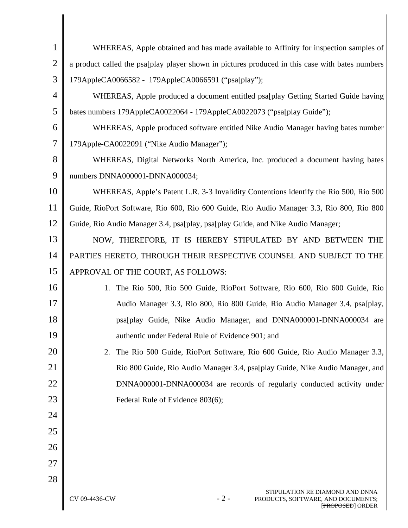| $\mathbf{1}$   | WHEREAS, Apple obtained and has made available to Affinity for inspection samples of                                |  |  |
|----------------|---------------------------------------------------------------------------------------------------------------------|--|--|
| $\overline{2}$ | a product called the psa[play player shown in pictures produced in this case with bates numbers                     |  |  |
| 3              | 179AppleCA0066582 - 179AppleCA0066591 ("psa[play");                                                                 |  |  |
| $\overline{4}$ | WHEREAS, Apple produced a document entitled psa[play Getting Started Guide having                                   |  |  |
| 5              | bates numbers 179AppleCA0022064 - 179AppleCA0022073 ("psa[play Guide");                                             |  |  |
| 6              | WHEREAS, Apple produced software entitled Nike Audio Manager having bates number                                    |  |  |
| 7              | 179Apple-CA0022091 ("Nike Audio Manager");                                                                          |  |  |
| 8              | WHEREAS, Digital Networks North America, Inc. produced a document having bates                                      |  |  |
| 9              | numbers DNNA000001-DNNA000034;                                                                                      |  |  |
| 10             | WHEREAS, Apple's Patent L.R. 3-3 Invalidity Contentions identify the Rio 500, Rio 500                               |  |  |
| 11             | Guide, RioPort Software, Rio 600, Rio 600 Guide, Rio Audio Manager 3.3, Rio 800, Rio 800                            |  |  |
| 12             | Guide, Rio Audio Manager 3.4, psa[play, psa[play Guide, and Nike Audio Manager;                                     |  |  |
| 13             | NOW, THEREFORE, IT IS HEREBY STIPULATED BY AND BETWEEN THE                                                          |  |  |
| 14             | PARTIES HERETO, THROUGH THEIR RESPECTIVE COUNSEL AND SUBJECT TO THE                                                 |  |  |
| 15             | APPROVAL OF THE COURT, AS FOLLOWS:                                                                                  |  |  |
| 16             | The Rio 500, Rio 500 Guide, RioPort Software, Rio 600, Rio 600 Guide, Rio<br>1.                                     |  |  |
| 17             | Audio Manager 3.3, Rio 800, Rio 800 Guide, Rio Audio Manager 3.4, psa[play,                                         |  |  |
| 18             | psa[play Guide, Nike Audio Manager, and DNNA000001-DNNA000034 are                                                   |  |  |
| 19             | authentic under Federal Rule of Evidence 901; and                                                                   |  |  |
| 20             | The Rio 500 Guide, RioPort Software, Rio 600 Guide, Rio Audio Manager 3.3,<br>2.                                    |  |  |
| 21             | Rio 800 Guide, Rio Audio Manager 3.4, psa[play Guide, Nike Audio Manager, and                                       |  |  |
| 22             | DNNA000001-DNNA000034 are records of regularly conducted activity under                                             |  |  |
| 23             | Federal Rule of Evidence 803(6);                                                                                    |  |  |
| 24             |                                                                                                                     |  |  |
| 25             |                                                                                                                     |  |  |
| 26             |                                                                                                                     |  |  |
| 27             |                                                                                                                     |  |  |
| 28             |                                                                                                                     |  |  |
|                | STIPULATION RE DIAMOND AND DNNA<br>$-2-$<br>CV 09-4436-CW<br>PRODUCTS, SOFTWARE, AND DOCUMENTS;<br>[PROPOSED] ORDER |  |  |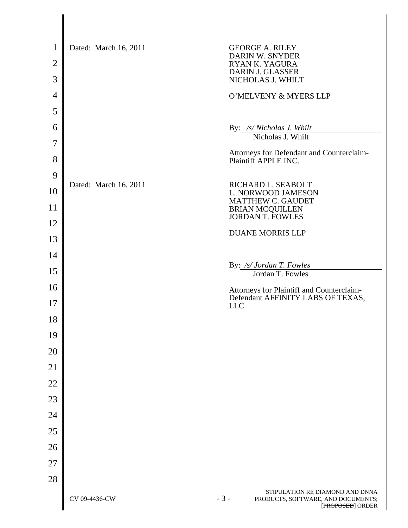| $\mathbf{1}$   | Dated: March 16, 2011 | <b>GEORGE A. RILEY</b><br>DARIN W. SNYDER                                                          |
|----------------|-----------------------|----------------------------------------------------------------------------------------------------|
| $\overline{2}$ |                       | RYAN K. YAGURA                                                                                     |
| 3              |                       | DARIN J. GLASSER<br>NICHOLAS J. WHILT                                                              |
| $\overline{4}$ |                       | O'MELVENY & MYERS LLP                                                                              |
| 5              |                       |                                                                                                    |
| 6              |                       | By: /s/ Nicholas J. Whilt                                                                          |
| 7              |                       | Nicholas J. Whilt                                                                                  |
| 8              |                       | Attorneys for Defendant and Counterclaim-<br>Plaintiff APPLE INC.                                  |
| 9              |                       |                                                                                                    |
| 10             | Dated: March 16, 2011 | RICHARD L. SEABOLT<br>L. NORWOOD JAMESON<br>MATTHEW C. GAUDET                                      |
| 11             |                       | <b>BRIAN MCQUILLEN</b><br><b>JORDAN T. FOWLES</b>                                                  |
| 12             |                       | <b>DUANE MORRIS LLP</b>                                                                            |
| 13             |                       |                                                                                                    |
| 14             |                       |                                                                                                    |
| 15             |                       | By: /s/ Jordan T. Fowles<br>Jordan T. Fowles                                                       |
| 16             |                       |                                                                                                    |
| 17             |                       | Attorneys for Plaintiff and Counterclaim-<br>Defendant AFFINITY LABS OF TEXAS,<br><b>LLC</b>       |
| 18             |                       |                                                                                                    |
| 19             |                       |                                                                                                    |
| 20             |                       |                                                                                                    |
| 21             |                       |                                                                                                    |
| 22             |                       |                                                                                                    |
| 23             |                       |                                                                                                    |
| 24             |                       |                                                                                                    |
| 25             |                       |                                                                                                    |
| 26             |                       |                                                                                                    |
| 27             |                       |                                                                                                    |
| 28             |                       |                                                                                                    |
|                | CV 09-4436-CW         | STIPULATION RE DIAMOND AND DNNA<br>$-3-$<br>PRODUCTS, SOFTWARE, AND DOCUMENTS;<br>[PROPOSED] ORDER |